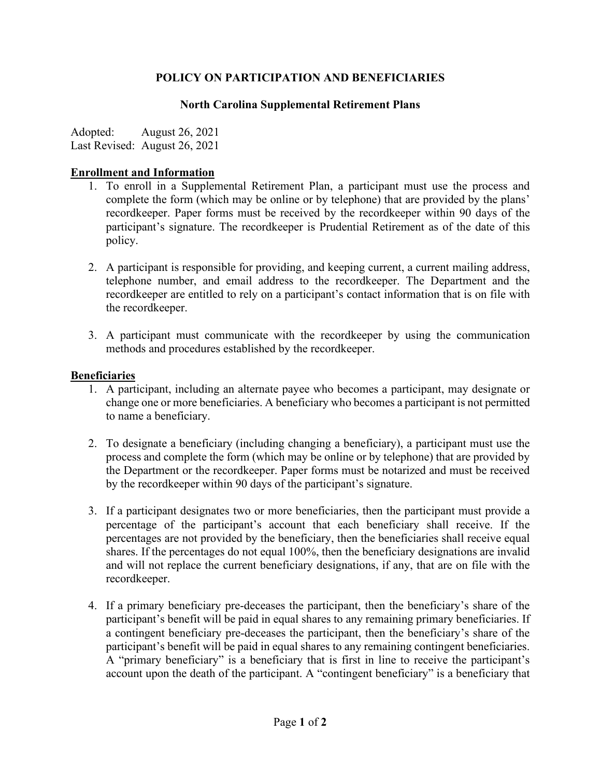# **POLICY ON PARTICIPATION AND BENEFICIARIES**

## **North Carolina Supplemental Retirement Plans**

Adopted: August 26, 2021 Last Revised: August 26, 2021

## **Enrollment and Information**

- 1. To enroll in a Supplemental Retirement Plan, a participant must use the process and complete the form (which may be online or by telephone) that are provided by the plans' recordkeeper. Paper forms must be received by the recordkeeper within 90 days of the participant's signature. The recordkeeper is Prudential Retirement as of the date of this policy.
- 2. A participant is responsible for providing, and keeping current, a current mailing address, telephone number, and email address to the recordkeeper. The Department and the recordkeeper are entitled to rely on a participant's contact information that is on file with the recordkeeper.
- 3. A participant must communicate with the recordkeeper by using the communication methods and procedures established by the recordkeeper.

## **Beneficiaries**

- 1. A participant, including an alternate payee who becomes a participant, may designate or change one or more beneficiaries. A beneficiary who becomes a participant is not permitted to name a beneficiary.
- 2. To designate a beneficiary (including changing a beneficiary), a participant must use the process and complete the form (which may be online or by telephone) that are provided by the Department or the recordkeeper. Paper forms must be notarized and must be received by the recordkeeper within 90 days of the participant's signature.
- 3. If a participant designates two or more beneficiaries, then the participant must provide a percentage of the participant's account that each beneficiary shall receive. If the percentages are not provided by the beneficiary, then the beneficiaries shall receive equal shares. If the percentages do not equal 100%, then the beneficiary designations are invalid and will not replace the current beneficiary designations, if any, that are on file with the recordkeeper.
- 4. If a primary beneficiary pre-deceases the participant, then the beneficiary's share of the participant's benefit will be paid in equal shares to any remaining primary beneficiaries. If a contingent beneficiary pre-deceases the participant, then the beneficiary's share of the participant's benefit will be paid in equal shares to any remaining contingent beneficiaries. A "primary beneficiary" is a beneficiary that is first in line to receive the participant's account upon the death of the participant. A "contingent beneficiary" is a beneficiary that